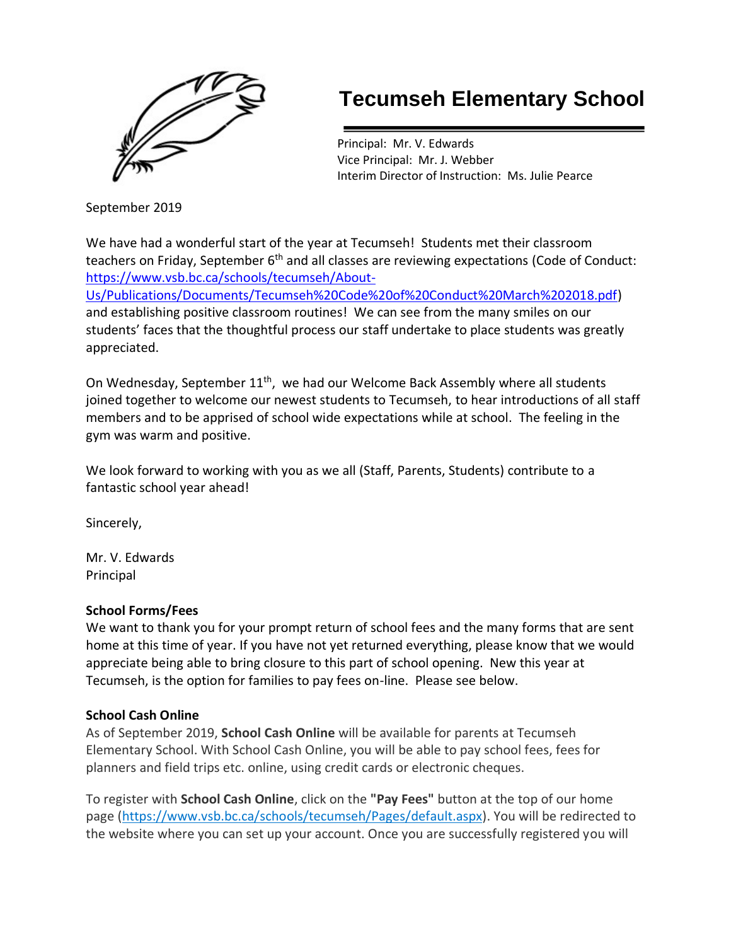

# **Tecumseh Elementary School**

 Principal: Mr. V. Edwards Vice Principal: Mr. J. Webber Interim Director of Instruction: Ms. Julie Pearce

September 2019

We have had a wonderful start of the year at Tecumseh! Students met their classroom teachers on Friday, September 6<sup>th</sup> and all classes are reviewing expectations (Code of Conduct: [https://www.vsb.bc.ca/schools/tecumseh/About-](https://www.vsb.bc.ca/schools/tecumseh/About-Us/Publications/Documents/Tecumseh%20Code%20of%20Conduct%20March%202018.pdf)

[Us/Publications/Documents/Tecumseh%20Code%20of%20Conduct%20March%202018.pdf\)](https://www.vsb.bc.ca/schools/tecumseh/About-Us/Publications/Documents/Tecumseh%20Code%20of%20Conduct%20March%202018.pdf) and establishing positive classroom routines! We can see from the many smiles on our students' faces that the thoughtful process our staff undertake to place students was greatly appreciated.

On Wednesday, September 11<sup>th</sup>, we had our Welcome Back Assembly where all students joined together to welcome our newest students to Tecumseh, to hear introductions of all staff members and to be apprised of school wide expectations while at school. The feeling in the gym was warm and positive.

We look forward to working with you as we all (Staff, Parents, Students) contribute to a fantastic school year ahead!

Sincerely,

Mr. V. Edwards Principal

## **School Forms/Fees**

We want to thank you for your prompt return of school fees and the many forms that are sent home at this time of year. If you have not yet returned everything, please know that we would appreciate being able to bring closure to this part of school opening. New this year at Tecumseh, is the option for families to pay fees on-line. Please see below.

## **School Cash Online**

As of September 2019, **School Cash Online** will be available for parents at Tecumseh Elementary School. With School Cash Online, you will be able to pay school fees, fees for planners and field trips etc. online, using credit cards or electronic cheques.

To register with **School Cash Online**, click on the **"Pay Fees"** button at the top of our home page [\(https://www.vsb.bc.ca/schools/tecumseh/Pages/default.aspx\)](https://www.vsb.bc.ca/schools/tecumseh/Pages/default.aspx). You will be redirected to the website where you can set up your account. Once you are successfully registered you will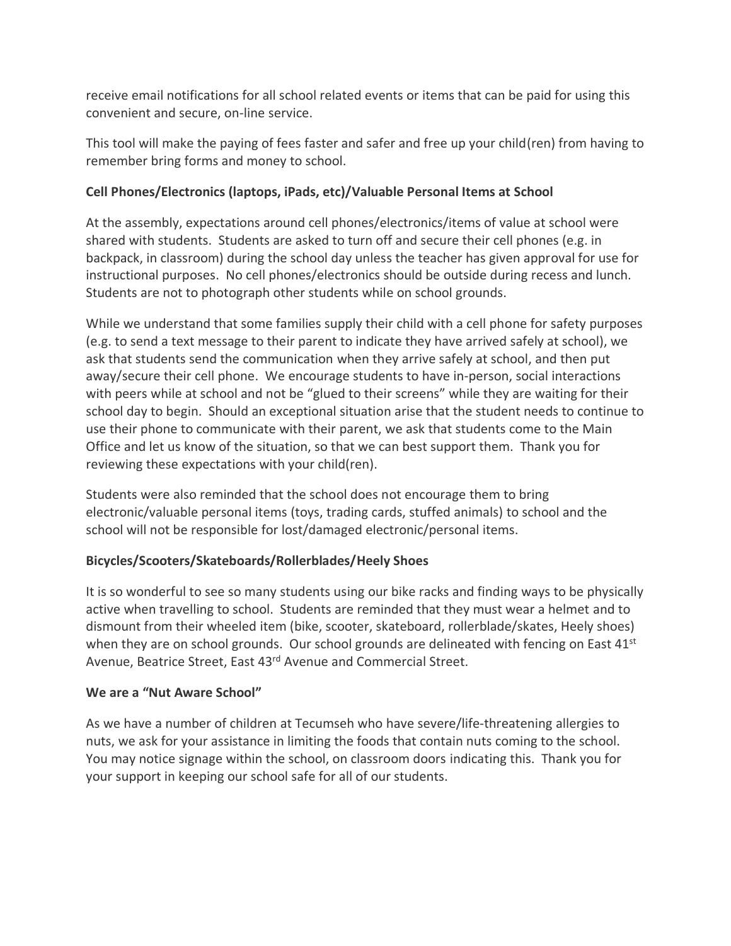receive email notifications for all school related events or items that can be paid for using this convenient and secure, on-line service.

This tool will make the paying of fees faster and safer and free up your child(ren) from having to remember bring forms and money to school.

## **Cell Phones/Electronics (laptops, iPads, etc)/Valuable Personal Items at School**

At the assembly, expectations around cell phones/electronics/items of value at school were shared with students. Students are asked to turn off and secure their cell phones (e.g. in backpack, in classroom) during the school day unless the teacher has given approval for use for instructional purposes. No cell phones/electronics should be outside during recess and lunch. Students are not to photograph other students while on school grounds.

While we understand that some families supply their child with a cell phone for safety purposes (e.g. to send a text message to their parent to indicate they have arrived safely at school), we ask that students send the communication when they arrive safely at school, and then put away/secure their cell phone. We encourage students to have in-person, social interactions with peers while at school and not be "glued to their screens" while they are waiting for their school day to begin. Should an exceptional situation arise that the student needs to continue to use their phone to communicate with their parent, we ask that students come to the Main Office and let us know of the situation, so that we can best support them. Thank you for reviewing these expectations with your child(ren).

Students were also reminded that the school does not encourage them to bring electronic/valuable personal items (toys, trading cards, stuffed animals) to school and the school will not be responsible for lost/damaged electronic/personal items.

## **Bicycles/Scooters/Skateboards/Rollerblades/Heely Shoes**

It is so wonderful to see so many students using our bike racks and finding ways to be physically active when travelling to school. Students are reminded that they must wear a helmet and to dismount from their wheeled item (bike, scooter, skateboard, rollerblade/skates, Heely shoes) when they are on school grounds. Our school grounds are delineated with fencing on East 41<sup>st</sup> Avenue, Beatrice Street, East 43rd Avenue and Commercial Street.

## **We are a "Nut Aware School"**

As we have a number of children at Tecumseh who have severe/life-threatening allergies to nuts, we ask for your assistance in limiting the foods that contain nuts coming to the school. You may notice signage within the school, on classroom doors indicating this. Thank you for your support in keeping our school safe for all of our students.